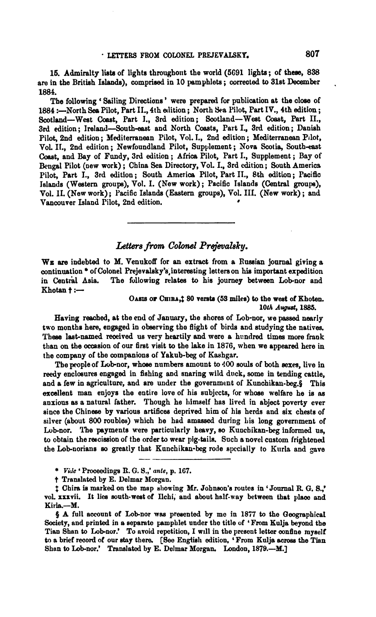15. Admiralty **limb** of lighta throughout the world (5691 lights; of **theae,** 838 are in the British Islands), comprised in 10 pam phlets; corrected to 31st December 1884.

The following ' Sailing Directions ' were prepared for publication at the close of 1884 :- North Sea Pilot, Part II., 4th edition ; North Sea Pilot, Part IV., 4th edition ; Scotland-West Coast, Part I., 3rd edition; Scotland-West Coast, Part II., 3rd edition; Ireland-South-east and North Coasts, Part I., 3rd edition; Danish Pilot, 2nd edition ; Xediterranean Pilot, Vol. **I.,** 2nd edition ; Mediterranean Pilot, VoL IL, 2nd edition; Newfoundland Pilot, Supplement; Nova Scotia, South-east Coast, and Bay of Fnndy, 3rd edition ; Africa Pilot, Part I., Supplement ; Bay of Bengal Pilot (new work) ; China Sea Directory, Vol. I., 3rd edition; South Americs Pilot, Part I., 3rd edition; South America Pilot, Part II., 8th edition: Pacific Islands (Western groups), Vol. I. (New work); Pacific Islands (Central groups), Vol. **11.** (New work) ; Pacific Islands **(Eastern** groups), Vol. 111. (New work) ; and Vancouver Island Pilot, 2nd edition. *<sup>8</sup>*

## Letters from Colonel Prejevalsky.

WE **are** indebted to **M.** Venukoff for an extract from a Ruasian journal giving a continuation \* of Colonel Prejevalsky's, interesting letters on his important expedition<br>in Central Asia. The following relates to his journey between Lob-nor and The following relates to his journey between Lob-nor and  $Khotan + : -$ 

## OASIS OF CHIRA,1 80 versts (53 miles) to the west of Khoten. *10th Auguaf,* **1885.**

Having reached, at the end of January, the shores of Lob-nor, we passed nearly two months here, engaged in observing the flight of birds and studying the natives. These last-named received us very heartily and were a hundred times more frank than on the occasion of our first visit to the lake in 1876, when we appeared here in the company of the companions of Yaknb-beg of Kashgar.

The peopleof Lob-nor, whoae numbem amount to 400 souls of both **sexes,** live in **reedy** enclosures engaged in fishing and snaring wild duck, some in tending cattle, and a few in agricnlture, and are under the government of Kunchikau-beg.§ This excellent man enjoys the entire love of his subjects, for whose welfare he is as anxious as a natural father. Though he himself has lived in abject poverty ever since the Chinese by various artifices deprived him of his herds and six chests of silver (about 800 roubles) which he had amassed during his long government of Lob-nor. l'he payments were particularly heavy, so Kunchikan-beg informed **us,**  to obtain the rescission of the order to wear pig-tails. Such a novel custom frightened the Lob-norians so greatly that Kunchikan-beg rode specially to Kurla and gave

- \* *Vde* 'Proceedings **ll.** G. **Y.,' ante,** p. 167.
- t Translated by E. Delmar Morgan.

\$ **ahira ie marked** on the **map** allowing Mr. Johneon's routes in 'Jonrnal R G. **S.,'**  vol. xxxvii. It lies south-west of Ilchi, and about half-way between that place and Kiria.-M.

§ A full account of Lob-nor was presented by me in 1877 to the Geographical Society, and printed in **a** separate pamphlet under the title **of** 'From Kulja beyond the Tian Shan to Lob-nor.' To avoid repetition, I will in the present letter confine myself to a brief record of our stay there. [See English edition, 'From Kulja across the Tian Shan to Lob-nor.' Translated by E. Delmar Morgan. London, 1879.-M.]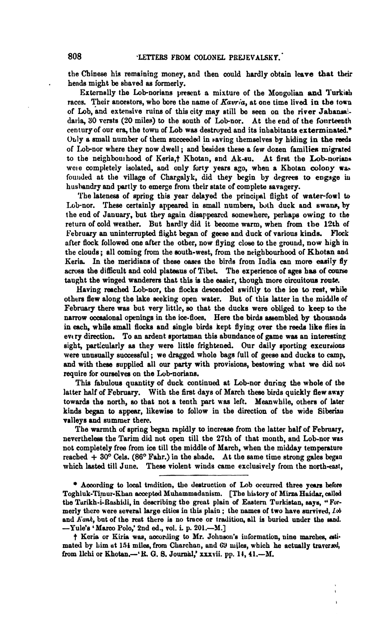the Chinese his remaining money, and then could hardly obtain lave that their hends might be shaved as formerly.

Externally the Lob-norians present a mixture of the Mongolian and Turkish races. Their ancestors, who bore the name of *Kavria*, at one time lived in the town of Lob, and extensive ruins of this city may still be seen on the river Jahansaidaria, 30 versts (20 miles) to the south of Lob-nor. At the end of the fourteenth century of our era, the towu of Lob **was** destroyed and its inhabitants exterminated.' Only a small number of them succeeded in saving themselves by hiding in the reeds of Lob-nor where they now dwell; and besides these a few dozen families migrated to the neighbourhood of Keria,† Khotan, and Ak-su. At first the Lob-norians to the neighbourhood of Keria,t Khotan, and Ak-su. wele completely isolated, and only forty years ago, when a Khotan colony was founded at the village of Chargalyk, did they begin by degrees to engage in hushandry and partly to emerge from their state of complete savagery.

The lateness of spring this year delayed the principal flight of water-fowl to Lob-nor. These certainly appeared in small numbers, both duck and swans, by the end of January, but they again disappeared somewhere, perhaps owing to the return of cold weather. But hardly did it become warm, when from the **12th** of February an uninterrupted flight began of geese and duck of various kinds. Flock after flock followed one after the other, now flying close to the ground, now high in the clouds; all coming from the south-west, from the neighbourhood of Khotan and Keria. In the meridians of these oases the birds from India can more easily fly across the difficult and cold plateaus of Tibt. The experience of ages hae of **coma**  taught the winged wanderers that this is the easier, though more circuitous route.

Having reached Lob-nor, the flocks descended swiftly to the ice to rest, while others flew along the lake aeeking open water. But of this latter in the middle of February there was but very little, so that the ducks were obliged to keep to the narrow occasional openings in the ice-floes. Here the birds assembled by thousands in each, while small **flocks** and single bids kept flying over the **reede** like flies in evtry direction. To an dent sportsman this abundance of game **was** an **interesting**  sight, particularly as they were little frightened. Our daily sporting excursions were unnsually successful ; we dragged wholo bags full of geese and ducks to **camp,**  and with these supplied all our party with provisions, bestowing what we did not require for ourselves on the Lob-norians.

This fabulous quantity of duck continued at Lob-nor during the whole of the latter half of February. With the first days of March these birds quickly flew away towarda the north, **so** that not a tenth part **was** left. Meanwhile, others of later kinds began to appear, likewise to follow in the direction of the wide Siberian valleys and summer there.

The warmth of spring began rapidly to increase from the latter half of February, nevertheless the Tarim did not open till the 27th of that month, and Lob-nor was not completely free from ice till the middle of March, when the midday temperature reached + 30° Cels. (86° Fahr.) in the shade. At the same time strong gales began which lasted till June. These violent winds came exclusively from the north-east,

<sup>\*</sup> According to local tradition, the destruction of Lob occurred three years before Toghluk-Timur-Khan accepted Muhnmmadnnism. [The Libtory of **Mina Haidar,** called the Turikh-i-Rashidi, in describing the great plain of Eastern Turkistan, says, "Formerly there were several large cities in this plain of Eastern Turkistum, says, "Formerly there were several large cities in this plain; the names of two have survived, *Lob* and *Kank*, but of the rest there is no trace o -Yule's 'Marco Polo,' 2nd **ed.,** vol. i. p. **201.-31.1** 

<sup>†</sup> Keria or Kiria was, according to Mr. Johnson's information, nine marches, estimated by  $\lim_{n \to \infty} 154$  miles, from Charchan, and 69 miles, which he actually traversel, from lichi or Khotan.-' R. G. S. Journal,' xxxvii. pp. 14, 41.--M.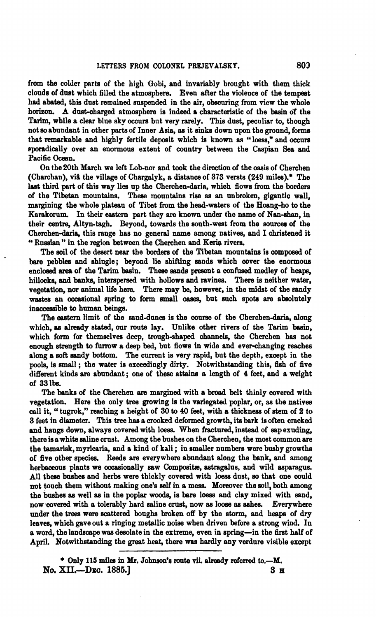from the colder parts of the high Gobi, and invariably brought with them thick clouds of dust which filled the atmosphere. Even after the violence of the tempest had abated, this dust remained suspended in the air, obscuring from view the whole horizon. A dust-charged atmosphere is indeed a characteristic of the basin of the Tarim, while a clear blue sky **ocoura** but very rarely. This dust, peculiar to, though not **so** abundant in other parts of Inner Asia, as it sinks down upon the ground, forms that remarkable and highly fertile depoeit which is known **as** "loess," and **occure**  sporadically over an enormous extent of country between the Caspian **Sea** and Pacific Ocean.

On the 20th March we left Lob-nor and took the direction of the oasis of Cherchen (Charchan), viå the village of Chargalyk, a distance of 373 versts  $(249 \text{ miles})$ .\* The last third part of this way lies up the Cherchen-daria, which flows from the borders of the Tibetan mountains. **These** monntaina rise as an unbroken, gigantic **wall,**  margining the whole plateau of Tibet from the head-waters of the Hoang-ho to the Karakorum. In their eastern part they are known under the name of Nan-shan, in their centre, Altyn-tagh. Beyond, towards the south-west from the sources of the Cherchen-daria, this range has no general name among natives, and I christened it " Russian" in the region between the Cherchen and Keria rivers.

The soil of the desert near the borders of the Tibetan mountains is composed of bare pebbles and shingle; beyond lie shifting sands which cover the enormous enclosed area of the Tarim basin. These sands present a confused medley of heaps, hillocks, and banks, interspersed with hollows and ravines. There is neither water, vegetation, nor animal life here. There may be, however, in the midst of the sandy hillocks, and banks, interspersed with hollows and ravines. There is neither water, vegetation, nor animal life here. There may be, however, in the midst of the sandy wastes an occasional spring to form small oases, but su inaccessible to human beings.

The eastern limit of the sand-dunes is the course of the Cherchen-daria, along which, as already stated, our route lay. Unlike other rivers of the Tarim basin. which form for themaelves deep, trough-shaped channels, the Cherchen has not enough strength to furrow a deep bed, but flows in wide and ever-changing reaches along a **soft** sandy bottom. The current is **very** rapid, but the depth, except in the pools, is small; the water is exceedingly dirty. Notwithstanding this, fish of five different kinds **are** abundant ; one of these attains a length of 4 feet, and a weight of **83** lbs.

The **banks** of the Cherchen **are** margined with a broad belt thinly covered with vegetation. Here tho only tree growing is the variegated poplar, or, **as** the natives call it, "tugrok," reaching a height of 30 to 40 feet, with a thickness of stem of 2 to 3 feet in diameter. **This** tree **has** a crooked deformed growth, its bark is ohen cracked and hangs down, always covered with loess. When fractured, instead of sap exuding, there is awhite saline crust. Among the bushes on the Cherchen, the most common **are**  the tamarisk, myricaria, and a kind of kali ; in smaller numbers were bushy growths of five other species. Reeds are everywhere abundant along the bank, and among herbaceous plants we occasionally saw Composite, astragalus, and wild asparagus. A11 theae bashes and herbs were thickly covered with loess dusk, **so** that one could mt touch them without making one's **eelf** in a mesa Moreover the soil, both among the bushes **ae** well **aa** in the poplar woods, is bere loess and clay mixed with sand, now~covered with a tolerably hard saline crust, now **as looee** as **ashes.** Everywhere under the trees were scattered boughs broken off by the storm, and heaps of dry leaves, which gave out a ringing metallic noise when driven before a strong wind. In a word, the landscape was desolate in the extreme, even in spring-in the first half of April. Notwithstanding the great heat, there was hardly any verdure visible except

**Only 115 miles in Mr. Johnson's route vii. already referred to.—M. S H No. XI1.-Dza. 1885.1 3 a**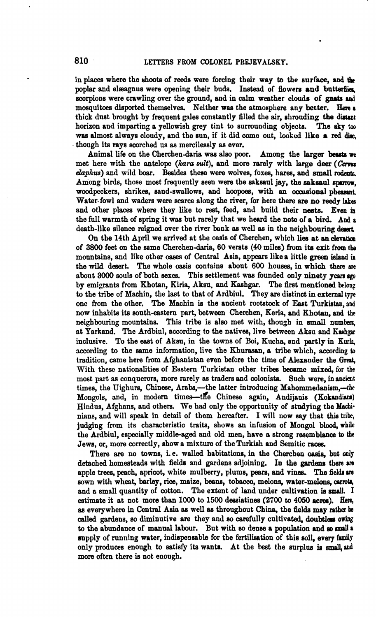in places where the shoots of reeds were forcing their way to the surface, and the poplar and elæagnus were opening their buds. Instead of flowers and butterflies, scorpions were crawling over the ground, and in calm weather clouds of gnats and mosquitoes disported themselves. Neither was the atmosphere any better. Here a thick dust brought by frequent gales constantly filled the air, shrouding the distant horizon and imparting a vellowish grey tint to surrounding objects. The aky too horizon and imparting a yellowish grey tint to surrounding objects. **wae** almost always cloudy, and the sun, if it did come out, looked like a red **dir,**  though its rays scorched us **as** mercilessly **as** ever.

Animal life on the Cherchen-daria was also poor. Among the larger beasts we though its rays scorched us as mercilessly as ever.<br>Animal life on the Cherchen-daria was also poor. Among the larger beasts we<br>met here with the antelope *(kara sult)*, and more rarely with large deer *(Cervus*<br>*denhus)* external into an extended contains with and more rarely with large deer (Cervus<br> *daphus*) and wild boar. Besides these were wolves, foxes, hares, and small rodats.<br>
A mone high side these met frequently seen were the ephe Among birds, those most frequently seen were the saksaul jay, the saksaul sparrow. woodpeckers, shrikes, sand-swallows, and hoopoes, with an occusional pheasant Water fowl and waders were scarce along the river, for here there are no reedy lakes and other places where they like to rest, feed, and build their nests. Even in the full warmth of spring it was but rarely that we heard the note of a bird. And a death-like silence reigned over the river bank **as** well as in the neighbonring **desert** 

On the 14th April we arrived at the oasis of Cherchen, which lies at an elevation of 3800 feet on the mme Cherchen-daria, **60** versts **(40** miles) **from** ita exit fmm **the**  mountains, and like other oases of Central Asis, appears like a little green island in the **mild** desert. The whole oasis contains about 600 houses, in which **there am**  about 3000 souls of both sexes. This settlement **was** founded only ninety **yean ago**  by emigrants from Khotan, Kiria, Aksu, and Kashgar. The first mentioned belong to the tribe of Machin, the last to that of Ardbiul. They are distinct in external tyre one from the other. The Machin is the ancient rootstock of East **Turkistan, rod**  now inhabits its south-eastern part, between Cherchen, Keria, and Khotan, and the neighbouring mountains. This tribe is also met with, though in small numbers, at Yarkand. The Ardbiul, according to the natives, live between Aksu and Kashen inclusive. To the east of Aksu, in the towns of Boi, Kucha, and **partly** in **Km4**  according to the same information, live the Khurasan, a tribe which, according to tradition, came here from Afghanistan even before the time of Alexander the **Grert,**  With these nationalities of Eastern Turkistan other tribes became mixed, for the most part **as** conquerors, more rnrely **as** traders and colonists. Such were, in ancient times, the Uighurs, Chinese, Arabs,-the latter introducing Mahommedanism,-the Mongols, and, in modern times-the Chinese again, Andijanis (Kokandians) Hindus, Afghans, and others. We had only the opportunity of studying the **Maehi**nians, and will speak in detail of them hereafter. I will now say that this tribe, judging from its characteristio traits, shows an infusion of Mongol blood, **while**  the Ardbiul, especially middle-aged and old men, have a strong resemblance to the Jews, or, more correctly, show a mixture of the Turkish and Semitic races.

There are no towns, i.e. walled habitations, in the Cherchen casis, but only detached homeateads with fielde and gardens adjoining. **Ln** the gardens there **am**  apple trees, peach, apricot, white mulberry, plums, pears, and vines, The fields **ue**  sown with wheat, barley, rice, maize, **beans,** tobacco, melong water-meIone, **carrots,**  and a small quantity of cotton. The extent of land under cultivation is small. I estimate it at not more than **1000** to 1500 deesiatines (2700 to **4050 acres). Ben,**  as everywhere in Central Asia as well as throughout China, the fields may rather be called gardens, so diminutive are they and so carefully cultivated, doubtless owing to the abundance of manual labour. But with so dense a population and so small a supply of running water, indispeosable for the fertilisation of this soil, every **fuuilj**  only produces enough to satisfy its wants. At the best the surplus is small, and more often there is not enough.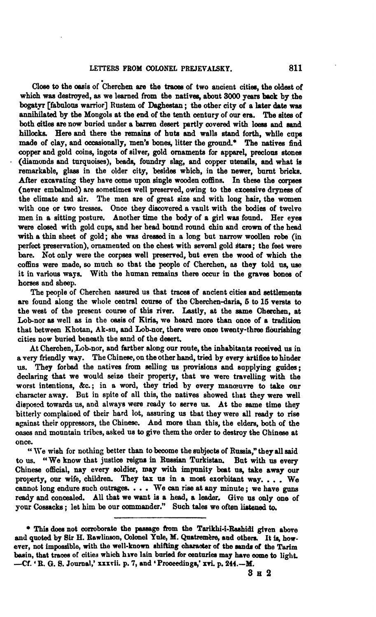Close to the casis of Cherchen are the traces of two ancient cities, the oldest of which was destroyed, as we learned from the natives, about 3000 years back by the bogatvr [fabulous warrior] Rustem of Daghestan: the other city of a later date was annihilated by the Mongols at the end of the tenth century of our era. The **aitea** of both cities are now buried under a barren desert partly covered with loess and sand hillocks. Here and there the remains of huts and walls stand forth, while cups made of clay, and occasionally, men's bones, litter the ground.\* The natives find copper and gold coins, ingots of silver, gold ornaments for apparel, precious stones (diamonds and turquoises), **beads,** foundry slag, and copper utensils, and what **is**  remarkable, glass in the older city, besides which, in the newer, burnt bricks. After excavating they have come upon single wooden coffins. In these the corpses (never embalmed) are sometimes well preserved, owing to the excessive dryness of the climate and air. The men are of great size and with long hair, the women with one or two tresses. Once they discovered a vault with the bodies of twelve men in a sitting posture. Another time the body of a girl was found. Her eyes **were** closed with gold cups, and her head bound round chin and crown **of** the head with **a** thin sheet of gold; she **was** dressed in a long but narrow woollen robe (in perfect preservation), ornamented on the chest with several gold stars; the feet were bare. Not only were the corpses well preserved, but even the wood of which the coffins were made, so much so that the people of Cherchen, **as** they told **us,** use it in various **ways.** With the human remains there occur in the gravea **bonee** of horses and sheep.

The people of Cherchen assured us that traces of ancient cities and settlements are found along the whole central course of the Cherchen-daria, 5 to 15 versts to the west of the present course of this river. Lastly, at the same Cherchen, at Lob-nor as well as in the casis of Kiria, we heard more than once of a tradition that between Khotan, Ak-su, and Lob-nor, there were once twenty-three flourishing cities now buried beneath the snnd of the desert.

At Cherchen, Lob-nor, and farther along our route, the inhabitants received us in a very friendly way. The Chinese, on the other **haad,** tried by every **artifice** tohinder **us. They** forbad the natives from selling **ns** provisions and anpplying **guides;**  declaring that we would seize their property, that we were travelling with the worst intentions, &c.; in a word, they tried by every manœuvre to take our character away. But in spite of all this, the natives showed that they were well dieposd towards us, and almaye **were** ready to serve **ua** At the same time they bitterly complained of their hard lot, assuring us that they were **all** ready to **rise**  against their oppressors, the Chinese. And more than this, the elders, both of the cases and mountain tribes, asked us to give them the order to destroy the Chinese at once.

once. JVe wish for nothing better than to become the subjects of **Rneeia,"** they **all** said to us. "We know that justice reigns in Russian Turkistan. But with us every Chinese official, nay every soldier, **may** with impunity beat ue, take away our property, our wife, children. They **tax** us in a most exorbitant way. . . . **We**  cannot long endure such ontragea . . . We can rise at any minute ; we have guns ready and concealed. All that we want is a head, a leader. Give us only one of your Cossacks ; let him be our commander." Such tales we often listened to.

<sup>\*</sup> This does not corroborate the passage from the Tarikhi-i-Rashidi given above and quoted by Sir H. Rawlinson, Colonel Yule, M. Quatremere, and others. It is, however, not impossible, with the well-known shifting character of the sands of the Tarim basin, that traces of cities which have lain buried for centuries may have come to light. --Cf. 'R. G. S. Journal,' xxxvii. p. 7, and 'Proceedings,' xvi. p. 244.--M.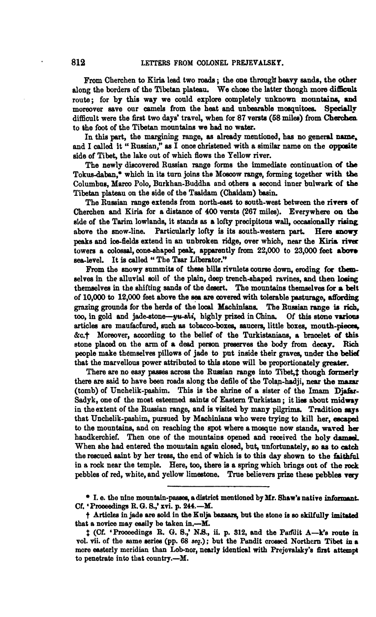From Cherchen to Kiria lead two roads; the one through heavy sands, the other along the borders of the Tibetan plateau. We chose the latter though more difficult route: for by this way we could explore completely unknown mountains, and moreover aave our camels from the heat and unbearable mosquitoes. **Speciallp**  difficult were the first two days' travel, when for 87 versts (58 miles) from Cherchen to the foot of the Tibetan mountaim we had no water.

In this part, the margining **range, ae** already mentioned, has no **general** name, and I called it " Russian," **as** I once christened with a similar name on the opposite side of Tibet, the lake out of which flows the Yellow river.

The newly discovered Russian range forms the immediate continuation of the Tokuadaben,\* which in ita turn joins the **Moscow range,** forming together **with** the Columbns, **Marco** Polo, Burkhan-Buddha and others a second inner bulwark of **the**  Tibetan plateau on the side of the Tsaidsm (Chaidam) basin.

The Russian range extends from north-east to south-west between the rivers of Cherchen and Kiria for a distance of 400 versts (267 miles). Everywhere on **the**  side of the Tarim lowlands, it stands as a lofty precipitous wall, occasionally rising above the mow-line. Particularly lofty is its south-western part. **Here** snowy peaks and ice-fields extend in an unbroken ridge, over which, near the Kiria river towers a colossal, cone-shaped peak, apparently from 22,000 to 23,000 feet above sea-level. It is called "The Tsar Liberator."

From the snowy summits of these hills rivulets course down, eroding for themselves in the alluvial soil of the plain, deep trench-shaped ravines, and then losing themselves in the shifting sands of the desert. The mountains themselves for a belt of 10,000 to 12,000 feet above the **sea** are covered with tolerable pastnrage, **afhding**  grazing grounds for the herds of the local Machinians. The Russian range is rich, too, in gold and jade-stone-yu-shi, highly prized in China. Of this stone various too, in gold and jade-stone-yu-shi, highly prized in China. articles are maufactured, such as tobacco-boxes, saucers, little boxes, mouth-pieces, &c.<sup>+</sup> Moreover, according to the belief of the Turkistanians, a bracelet of this stone placed on the arm of a dead person preserves the body from decay. Rich people make themselves pillows of jade to put inside their graves, under the belief that the marvellone power attributed to **this** stone will be proportionately **greater.** 

There are no easy passes across the Russian range into Tibet, t though formerly there are said to have been roads along the defile of the Tolan-hadji, near the mazar (tomb) of Unchelik-pashim. Thie is the shrine of a sister of the Imam **Djahr-**Sadyk, one of the most esteemed saints of Eastern Turkistan; it lies about midway in the extent of the Russian range, and is visited by many pilgrims. Tradition says that Unchelik-pashim, pursued by Machiniana who were trying to kill her, **eacapd**  to the mountains, and on reaching the spot where a mosque now stands, waved her handkerchief. Then one of the mountains opened and received the holy damsel. When she had entered the mountain again closed, but, unfortunately, so as to catch the rescued saint by her tress, the end of which is to this day shown to the faithful in a rock near the temple. Here, too, there is a spring which brings out of the rock pebbles of red, white, and yellow limestone. True believers **prize** these pebbles **very** 

I. e. the nine mountaim-paseas, adiatrict mentioned by Mr. **Sbaw'e** native **infamaat. Cf.** ' **Prooeedinga** R. **Q. S.,'** xvi. p. 244.-lK.

t Articlen in jade are eold in the **Kalja** bssaare, but the stone **ia** so **skilfully** imit&d that a novice may easily be taken in.-M.

 $\ddot{\textbf{r}}$  (Cf. 'Proceedings **B. G. S.**,' N.S., ii. p. 312, and the Parklit A-k's route in vol. vii. of the same series (pp. 68 seq.); but the Pandit crossed Northern Tibet in a more easterly meridian than Lob-nor, nearly identical with Prejevalsky's first attempt to penetrate into that country.--M.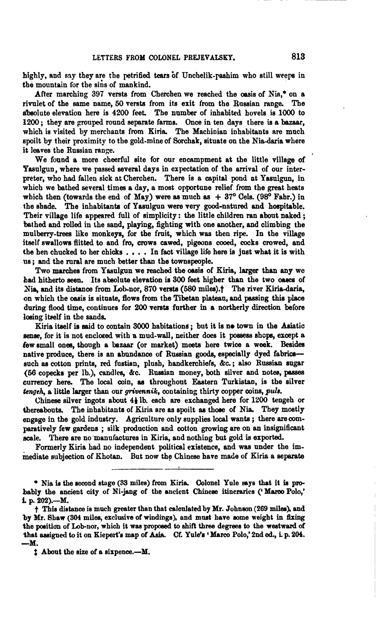highly, and say they are the petrified tears of Unchelik-pashim who still weeps in the mountain for the sins of mankind.

After marching 397 versts from Cherchen we reached the oasis of Nia,<sup>\*</sup> on a rivulet of the same name, 50 versta from its exit from tho Russian range. The dmolute elevation here is 4200 feet. The number of inhabited hovels is **1000** to **<sup>1200</sup>**; they are grouped round separate farms. Once in ten days there is a bazaar, which is visited by merchants from Kiria. The Machinian inhabitants are much spoilt by their proximity to the gold-mine of Sorchak, situate on the Nia-daria where it leaves the Russian range.

We found a more cheerful site for our encampment at the little village of 'Pasulgun, where we passed several days in expectation of the arrival of our interpreter, who had fallen sick at Cherchen. There is a capital pond at Yasnlgun, in which we bathed several timea a day, a most opportune relief from the **geat** heats which then (towards the end of  $\text{Mav}$ ) were as much as  $+37^{\circ}$  Cels.  $(98^{\circ}$  Fabr.) in the shade. The inhabitante of Yasnlgun were very good-natured and hospitable. Their village life appeared full of simplicity: the little children ran about naked; hthed and rolled in the sand, playing, fighting with one another, and climbing the mulberry-trees like monkeys, for the fruit, which was then ripe. In the village itself swallows flitted to and fro, crows cawed, pigeons **cooed,** cocks crowed, and the hen chucked to her chicks . . . . In fact village life here is just what it is with 11s ; and the rural are mnch better than the townspeople.

Two marches from Yasulgun we reached the oasis of Kiria, larger than any we bad hitherto seen. Its absolute elevation is 300 feet higher than the two oases of Nia, and its distance from Lob-nor, 870 versts (580 miles).<sup>†</sup> The river Kiria-daria, on which the owis is situate, flows from the Tibetan plateau, and passing this **place**  during **flood** time, continues for 200 versta further in a northerly direction before losing itself in the sands.

Kiria itself is said to contain 3000 habitations; but it is no town in the Asiatic sense, for it is not enclosed with a mud-wall, neither does it possess shops, except a few small ones, though a **hzaar** (or market) meeta here twice a week. Beside native produce, there is an abundance of Russian **goods,** especially dyed fabrics- such as cotton prints, red fustian, plush, handkerchiefs, &c.; also Russian sugar (56 copecks per lb.), candles, &c. Russian money, both silver and notes, passes currency here. The local coin, **as** throughout Eastern Turkistan, is the silver *hgeh,* a little larger than our **grivennik,** containing thirty copper coins, **pula.** 

**Chinese** silver ingots about **44** lb. each **are** exchanged here for *UOO* tengeh or thereabouts. The inhabitants of Kiria are as spoilt as those of Nia. They mostly engage in the gold industry. Agriculture only supplies local wants ; there arecomparstively few gardens ; silk production and cotton growing are on an insignificant scale. There are no manufactures in Kiria, and nothing but gold is exported.

Formerly Kiria had no independent political existence, and was under the immediate subjection of Khotan. But now the Chinese have made of Kiria a separate

\* Nia is the second stage (33 miles) from Kiria. Colonel Yule says that it is probably the ancient city of Ni-jang of the ancient Chinese itineraries ('Marco Polo,' i. p. 202).-M.

t **Thie distance** ie much **greater** than that calcnlated by Mr. Johneon (269 **miles),** and by Mr. Shaw (304 miles, exclusive of windings), and must have some weight in fixing the position of Lob-nor, which it **waa** proposed to **ehift** three degrees to the **westward** of that assigned to it on Kiepert's map of Asia. Cf. Yule's 'Marco Polo,' 2nd ed., i. p. 204.  $-M.$ 

 $t$  About the size of a sixpence.- $M$ .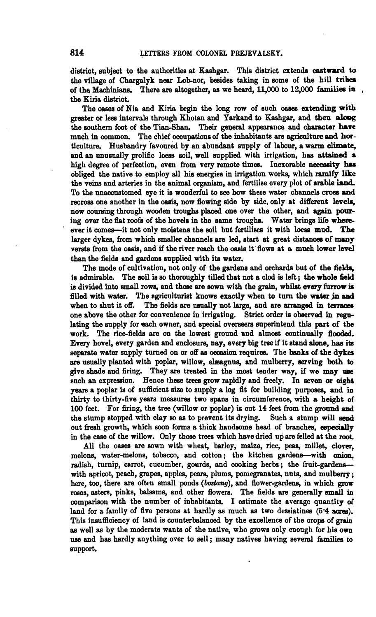district, subject to the authorities at Kashgar. This district extends eastward to the village of Chargalyk near Lob-nor, besides taking in some of the hill tribes of the Machinians. There are altogether, as we heard, 11,000 to 12,000 families in the Kiria district.

The **oasea** of Nia and Kiria **begin** the long row of such oases **extending** with greater or leas intervnle through Khotan and Yarkand to Kashgar, and **then aloog**  the southern foot of the Tian-Shan. Their general appearance and character have much in common. The chief occupations of the inhabitants **are** egricalture **and ha**ticulture. Husbandry 'favoured by an abundant supply of labour, a **warm** climate, and **an** unusually prolific loess soil, well supplied with irrigation, has **attained s**  high degree of perfection, even from very remote times. Inexorable necessity has obliged the native to employ all his energies in irrigation works, which ramify like the veins and arteries in the animal organism, and fertilise overy plot of arable land. To the unaccustomed eye it is wonderful to see how these water channels cross and recross one another in the oasis, now flowing side by side, only at different levels, now coursing through wooden troughs placed one over the other, and again pouring over the flat roofs of the hovels in the same troughs. Water brings life whereever it comes-it not only moistens the soil but fertilises it with loess mud. The larger dykes, from which smaller channels are led, start at great distances of many versts from the **oasis**, and if the river reach the **oasis** it flows at a much lower level than the fields and gardens snpplied with **its** water.

The mode of cultivation, not only of the gardena and orchards but of the **fields, ia** admirable. The mil is so thoroughly tilled that not a clod is left; the whole **W is** divided **into** emall rows, and thew **are** sown with the **grain,** whilst **every** farrow is filled with water. The agriculturist knows exactly when to turn the water in and when to shut it off. The fields are usually not large, and are arranged in terraces The fields are usually not large, and are arranged in terraces one above the other for convenience in irrigating. Strict order is observed in regulating the supply for each owner, and special overseers superintend this part of the work. The rice-fields are on the lowest ground and almost continually flooded. Every hovel, every garden and enclosure, nay, every big tree if it **atand** alone, has **ib**  separate water supply turned on or off as occasion requires. The banks of the dykes are usually planted with poplar, willow, elæagnus, and mulberry, serving both to give shade and firing. They **are** treated in the most tender way, if we may um such **an** expression. Hence these trees grow mpidly and freely. In seven or **eight**  vears a poplar is of sufficient size to supply a log fit for building purposes, and in thirty to thirty-five years measures two spans in circumference, with a height of 100 feet. For firing, the tree (willow or poplar) is cut 14 feet from the ground and the stump stopped with clay so as to prevent its drying. Such a stump will send out fresh growth, which soon forms a thick handsome head of branches, especially in the case of the willow. Only those trees which have dried up are felled at the **root.** 

All the cases are sown with wheat, barley, maize, rice, peas, millet, clover, melons, water-melons, tobacco, and cotton; the kitchen gardens-with onion, radish, turnip, carrot, cucumber, gourds, and cooking herbs; the fruit-gardenswith apricot, peach, **grapes,** apples, **psars,** plums, pomegranates, nuts, and mulberry; here, **too,** there are often small ponds **(bostang),** and flower-gardens, in which **grow**  roses, asters, pinks, balsams, and other flowers. The fields are generally small in comparison with the number of inhabitants. I estimate the average quantity of land for a family of five persons at hardly as much as two dessiatines (5<sup>.4</sup> acres). This insufficiency of land is counterbalanced by the excellence of the crops of **grain**  as well as by the moderate wants of the native, who grows only enough for his own use and has hardly anything over to sell; many nativea having several families to support.